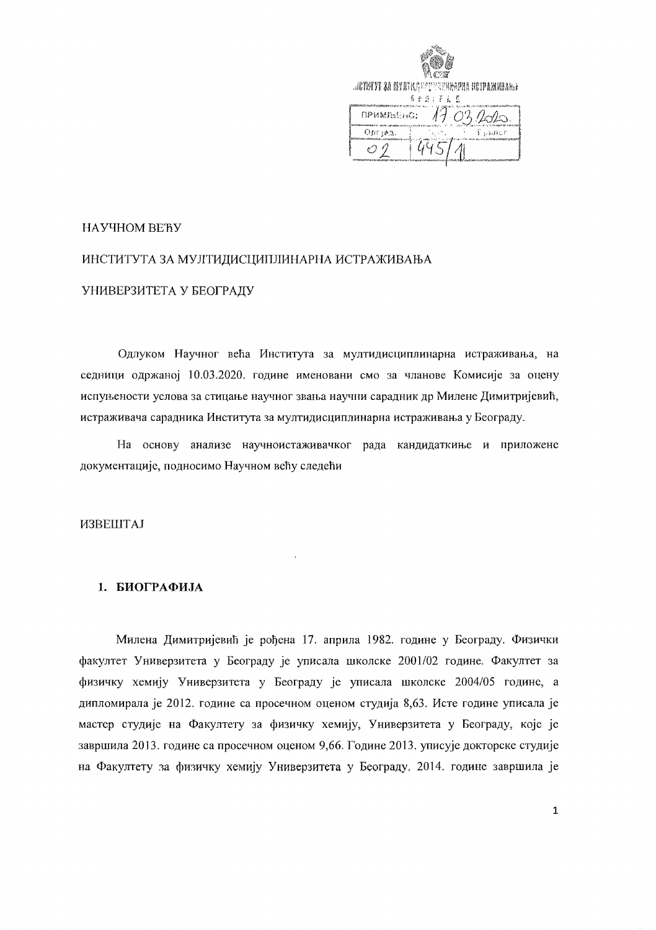| <b>ACTESTE 24 BYTHAS SELVERENTEN HOTPANKINNER</b><br>自由日之百王 藍 |
|---------------------------------------------------------------|
| примљено:                                                     |
| $O(n^2 + 8.3)$                                                |

#### НАУЧНОМ ВЕЋУ

# ИНСТИТУТА ЗА МУЛТИДИСЦИПЛИНАРНА ИСТРАЖИВАЊА УНИВЕРЗИТЕТА У БЕОГРАДУ

Одлуком Научног већа Института за мултидисциплинарна истраживања, на седници одржаној 10.03.2020. године именовани смо за чланове Комисије за оцену испуњености услова за стицање научног звања научни сарадник др Милене Димитријевић, истраживача сарадника Института за мултидисциплинарна истраживања у Београду.

На основу анализе научноистаживачког рада кандидаткиње и приложене документације, подносимо Научном већу следећи

 $\mathbf{r}$ 

#### **ИЗВЕШТАЈ**

#### 1. БИОГРАФИЈА

Милена Димитријевић је рођена 17. априла 1982. године у Београду. Физички факултет Универзитета у Београду је уписала школске 2001/02 године. Факултет за физичку хемију Универзитета у Београду је уписала школске 2004/05 године, а дипломирала је 2012. године са просечном оценом студија 8,63. Исте године уписала је мастер студије на Факултету за физичку хемију, Универзитета у Београду, које је завршила 2013. године са просечном оценом 9,66. Године 2013. уписује докторске студије на Факултету за физичку хемију Универзитета у Београду, 2014. године завршила је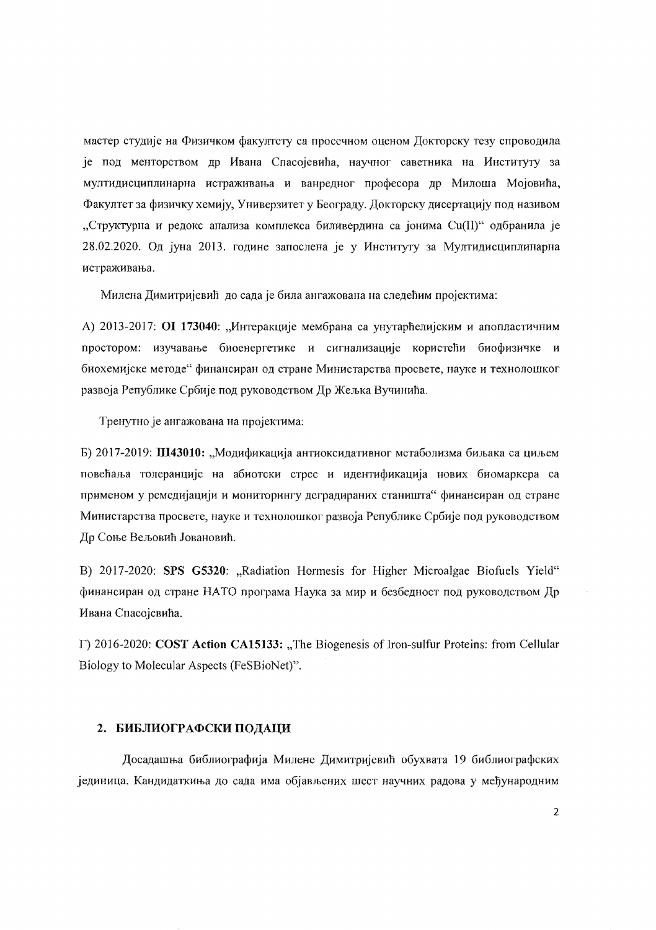мастер студије на Физичком факултету са просечном оценом Докторску тезу спроводила је под менторством др Ивана Спасојевића, научног саветника на Институту за мултидисциплинарна истраживања и ванредног професора др Милоша Мојовића, Факултет за физичку хемију, Универзитет у Београду. Докторску дисертацију под називом "Структурна и редокс анализа комплекса биливердина са јонима Cu(II)" одбранила је 28.02.2020. Од јуна 2013. године запослена је у Институту за Мултидисциплинарна истраживања.

Милена Димитријевић до сада је била ангажована на следећим пројектима:

А) 2013-2017: ОІ 173040: "Интеракције мембрана са унутарћелијским и апопластичним простором: изучавање биоенергетике и сигнализације користећи биофизичке и биохемијске методе" финансиран од стране Министарства просвете, науке и технолошког развоја Републике Србије под руководством Др Жељка Вучинића.

Тренутно је ангажована на пројектима:

Б) 2017-2019: Ш43010: "Модификација антиоксидативног метаболизма биљака са циљем повећаља толеранције на абиотски стрес и идентификација нових биомаркера са применом у ремедијацији и мониторингу деградираних станишта" финансиран од стране Министарства просвете, науке и технолошког развоја Републике Србије под руководством Др Соње Вељовић Јовановић.

B) 2017-2020: SPS G5320: "Radiation Hormesis for Higher Microalgae Biofuels Yield" финансиран од стране НАТО програма Наука за мир и безбедност под руководством Др Ивана Спасојевића.

 $\Gamma$ ) 2016-2020: COST Action CA15133: "The Biogenesis of Iron-sulfur Proteins: from Cellular Biology to Molecular Aspects (FeSBioNet)".

#### 2. БИБЛИОГРАФСКИ ПОДАЦИ

Досадашња библиографија Милене Димитријевић обухвата 19 библиографских јединица. Кандидаткиња до сада има објављених шест научних радова у међународним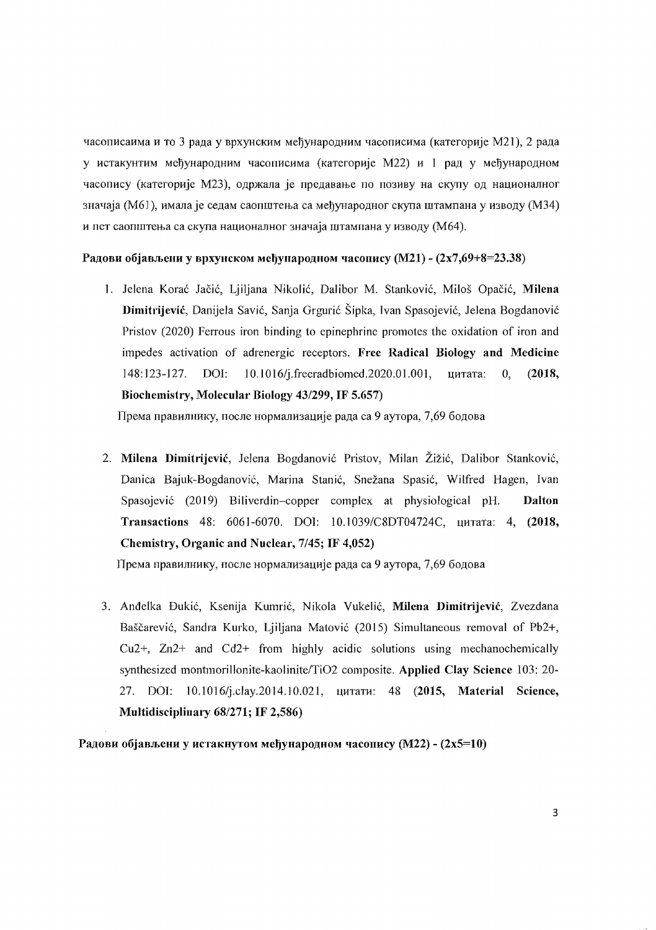часописаима и то 3 рада у врхунским међународним часописима (категорије М21), 2 рада у истакунтим међународним часописима (категорије M22) и 1 рад у међународном часопису (категорије М23), одржала је предавање по позиву на скупу од националног значаја (M61), имала је седам саопштења са међународног скупа штампана у изводу (M34) и пет саопштења са скупа националног значаја штампана у изводу (М64).

#### Радови објављени у врхунском међународном часопису (М21) -  $(2x7,69+8=23.38)$

1. Jelena Korać Jačić, Ljiljana Nikolić, Dalibor M. Stanković, Miloš Opačić, Milena Dimitrijević, Danijela Savić, Sanja Grgurić Šipka, Ivan Spasojević, Jelena Bogdanović Pristov (2020) Ferrous iron binding to epinephrine promotes the oxidation of iron and impedes activation of adrenergic receptors. Free Radical Biology and Medicine 148:123-127. DOI: 10.1016/j.freeradbiomed.2020.01.001, цитата: 0, (2018, Biochemistry, Moleculat' Biology 43/299, **IF** 5.657)

Према правилнику, после нормализације рада са 9 аутора, 7,69 бодова

2. Milena Dimitrijević, Jelena Bogdanović Pristov, Milan Žižić, Dalibor Stanković, Danica Bajuk-Bogdanović, Marina Stanić, Snežana Spasić, Wilfred Hagen, Ivan Spasojević (2019) Biliverdin-copper complex at physiological pH. Dalton Transactions 48: 606] -6070. DOl: 10.1 *039/C8DT04724C,* UHTaTa: 4, (2018, Chemistry, Organic and Nuclear, *7/45;* **IF** 4,052)

Према правилнику, после нормализације рада са 9 аутора, 7,69 бодова

3. Anđelka Đukić, Ksenija Kumrić, Nikola Vukelić, Milena Dimitrijević, Zvezdana Baščarević, Sandra Kurko, Ljiljana Matović (2015) Simultaneous removal of Pb2+, Cu2+, Zn2+ and Cd2+ from highly acidic solutions using mechanochemically synthesized montmorillonite-kaolinite/Ti02 composite. Applied Clay Science 103: 20 27. DOI: 10.1016/j.clay.2014.10.021, цитати: 48 (2015, Material Science, Multidisciplinary 681271; **IF** 2,586)

Радови објављени у истакнутом међународном часопису (М22) -  $(2x5=10)$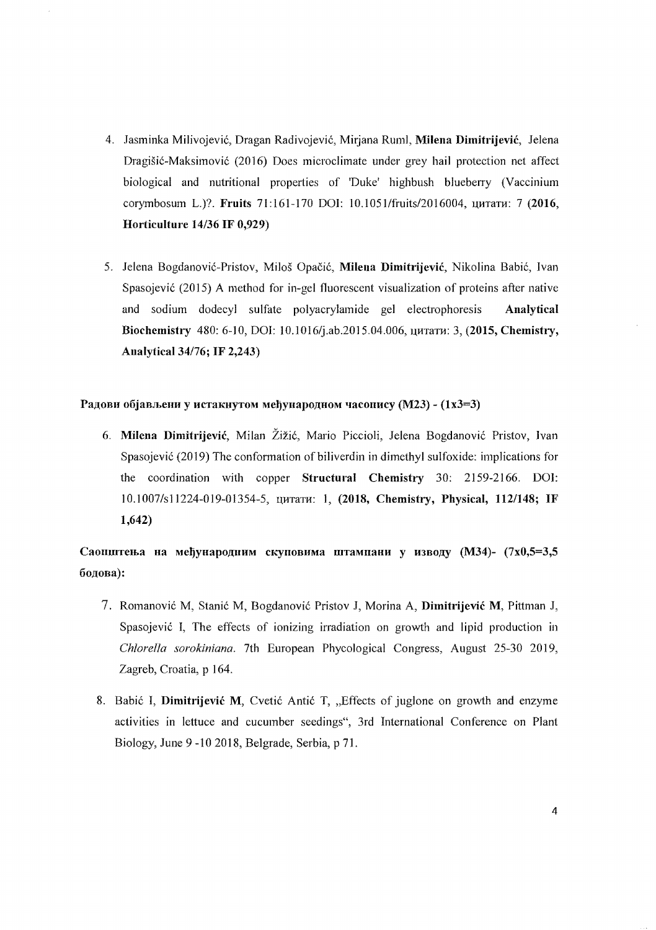- 4. Jasminka Milivojević, Dragan Radivojević, Mirjana Ruml, Milena Dimitrijević, Jelena Dragisic-Maksimovic (2016) Does microclimate under grey hail protection net affect biological and nutritional properties of 'Duke' highbush blueberry (Vaccinium corymbosum L.)?. Fruits 71:161-170 DOI: 10.1051/fruits/2016004, цитати: 7 (2016, Horticulture *14/36* IF 0,929)
- 5. Jelena Bogdanović-Pristov, Miloš Opačić, Milena Dimitrijević, Nikolina Babić, Ivan Spasojevic (2015) A method for in-gel fluorescent visualization of proteins after native and sodium dodecyl sulfate polyacrylamide gel electrophoresis Analytical Biochemistry 480: 6-10, DOI: 10.1016/j.ab.2015.04.006, цитати: 3, (2015, Chemistry, Analytical *34176;* IF 2,243)

#### Радови објављени у истакнутом међународном часопису (М23) -  $(1x3=3)$

6. Milena Dimitrijević, Milan Žižić, Mario Piccioli, Jelena Bogdanović Pristov, Ivan Spasojevic (2019) The conformation of biliverdin in dimethyl sulfoxide: implications for the coordination with copper Structural Chemistry 30: 2159-2166. DOI: 10.1007/s11224-019-01354-5, *цитати*: 1, (2018, Chemistry, Physical, 112/148; IF 1,642)

## Саопштења на међународиим скуповима штампани у изводу (М34)- (7x0,5=3,5 бодова):

- 7. Romanović M, Stanić M, Bogdanović Pristov J, Morina A, Dimitrijević M, Pittman J, Spasojevic I, The effects of ionizing irradiation on growth and lipid production in *Chlorella sorokiniana.* 7th European Phycological Congress, August 25-30 2019, Zagreb, Croatia, p 164.
- 8. Babić I, Dimitrijević M, Cvetić Antić T, "Effects of juglone on growth and enzyme activities in lettuce and cucumber seedings", 3rd International Conference on Plant Biology, June 9 -10 2018, Belgrade, Serbia, p 71.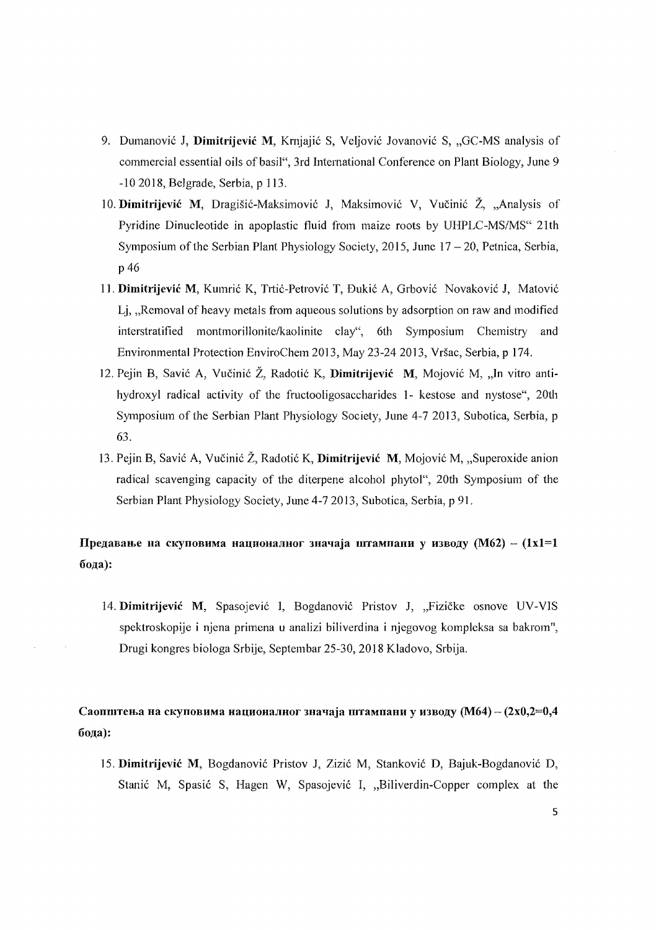- 9. Dumanović J, Dimitrijević M, Krnjajić S, Veljović Jovanović S, "GC-MS analysis of commercial essential oils of basil", 3rd Intemational Conference on Plant Biology, June 9 -10 2018, Belgrade, Serbia, p 113.
- 10. Dimitrijević M, Dragišić-Maksimović J, Maksimović V, Vučinić Ž, "Analysis of Pyridine Dinucleotide in apoplastic fluid from maize roots by UHPLC-MS/MS" 21th Symposium of the Serbian Plant Physiology Society, 2015, June  $17 - 20$ , Petnica, Serbia, p 46
- 11. Dimitrijević M, Kumrić K, Trtić-Petrović T, Đukić A, Grbović Novaković J, Matović Li, ., Removal of heavy metals from aqueous solutions by adsorption on raw and modified interstratified montmorillonite/kaolinite clay", 6th Symposium Chemistry and Environmental Protection EnviroChem 2013, May 23-242013, Vrsac, Serbia, p 174.
- 12. Pejin B, Savić A, Vučinić Ž, Radotić K, Dimitrijević M, Mojović M, "In vitro antihydroxyl radical activity of the fructooligosaccharides 1- kestose and nystose", 20th Symposium of the Serbian Plant Physiology Society, June 4-7 2013, Subotica, Serbia, p 63.
- 13. Pejin B, Savić A, Vučinić  $\check{Z}$ , Radotić K, Dimitrijević M, Mojović M, "Superoxide anion radical scavenging capacity of the diterpene alcohol phytol", 20th Symposium of the Serbian Plant Physiology Society, June 4-72013, Subotica, Serbia, p 91.

Предавање на скуповима националног значаја штампани у изводу (М62) - (1x1=1 бода):

14. Dimitrijević M, Spasojević I, Bogdanović Pristov J, "Fizičke osnove UV-VIS spektroskopije i njena primena u analizi biliverdina i njegovog kompleksa sa bakrom", Drugi kongres biologa Srbije, Septembar 25-30, 2018 Kladovo, Srbija.

### Саопштења на скуповима националног значаја штампани у изводу (М64) - (2x0,2=0,4 бода):

]5. Dimitrijevic M, Bogdanovic Pristov J, Zizic M, Stankovic D, Bajuk-Bogdanovic D, Stanić M, Spasić S, Hagen W, Spasojević I, "Biliverdin-Copper complex at the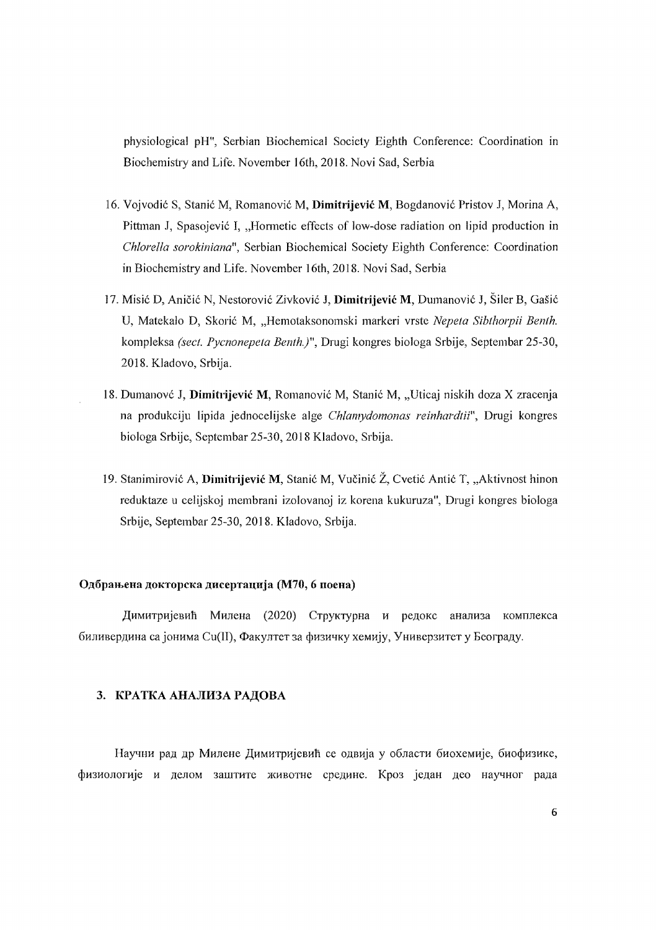physiological pH", Serbian Biochemical Society Eighth Conference: Coordination in Biochemistry and Life. November 16th, 2018. Novi Sad, Serbia

- 16. Vojvodić S, Stanić M, Romanović M, Dimitrijević M, Bogdanović Pristov J, Morina A, Pittman J, Spasojević I, "Hormetic effects of low-dose radiation on lipid production in *ChIarella sarakiniana",* Serbian Biochemical Society Eighth Conference: Coordination in Biochemistry and Life. November 16th, 2018. Novi Sad, Serbia
- 17. Misić D, Aničić N, Nestorović Zivković J, Dimitrijević M, Dumanović J, Šiler B, Gašić U, Matekalo D, Skorić M, "Hemotaksonomski markeri vrste *Nepeta Sibthorpii Benth.* kompleksa *(sect. Pycnonepela Benth.}",* Drugi kongres biologa Srbije, Septembar 25-30, 2018. Kladovo, Srbija.
- 18. Dumanové J, Dimitrijević M, Romanović M, Stanić M, "Uticaj niskih doza X zracenja na produkciju lipida jednocelijske alge *Chlamydomonas reinhardlii",* Drugi kongres biologa Srbije, Septembar 25-30,2018 Kladovo, Srbija.
- 19. Stanimirović A, Dimitrijević M, Stanić M, Vučinić Ž, Cvetić Antić T, "Aktivnost hinon reduktaze u celijskoj membrani izolovanoj iz korena kukuruza", Drugi kongres biologa Srbije, Septembar 25-30,2018. Kladovo, Srbija.

#### Одбрањена докторска дисертација (М70, 6 поена)

Димитријевић Милена (2020) Структурна и редокс анализа комплекса биливердина са јонима Cu(II), Факултет за физичку хемију, Универзитет у Београду.

#### 3. КРАТКА АНАЛИЗА РАДОВА

Научни рад др Милене Димитријевић се одвија у области биохемије, биофизике, физиологије и делом заштите животне средине. Кроз један део научног рада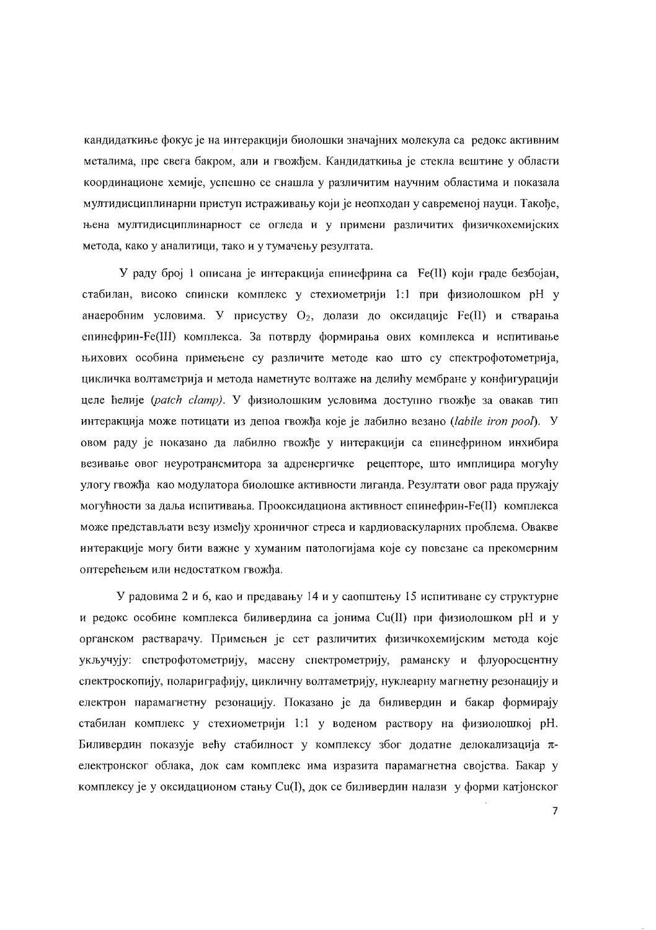кандидаткиње фокус је на интеракцији биолошки значајних молекула са редокс активним металима, пре свега бакром, али и гвожђем. Кандидаткиња је стекла вештине у области координационе хемије, успешно се снашла у различитим научним областима и показала мултидисциплинарни приступ истраживању који је неопходан у савременој науци. Такође, њена мултидисциплинарност се огледа и у примени различитих физичкохемијских метода, како у аналитици, тако и у тумачењу резултата.

У раду број 1 описана је интеракција епинефрина са Fe(II) који граде безбојан, стабилан, високо спински комплекс у стехиометрији 1:1 при физиолошком рН у анаеробним условима. У присуству  $O_2$ , долази до оксидације  $Fe(H)$  и стварања епинефрин-Fe(III) комплекса. За потврду формирања ових комплекса и испитивање њихових особина примењене су различите методе као што су спектрофотометрија, цикличка волтаметрија и метода наметнуте волтаже на делићу мембране у конфигурацији целе ћелије (patch clamp). У физиолошким условима доступно гвожђе за овакав тип интеракција може потицати из депоа гвожђа које је лабилно везано (labile iron pool). У овом раду је показано да лабилно гвожђе у интеракцији са епинефрином инхибира везивање овог неуротрансмитора за адренергичке рецепторе, што имплицира могућу улогу гвожђа као модулатора биолошке активности лиганда. Резултати овог рада пружају могућности за даља испитивања. Прооксидациона активност епинефрин-Fe(II) комплекса може представљати везу између хроничног стреса и кардиоваскуларних проблема. Овакве интеракције могу бити важне у хуманим патологијама које су повезане са прекомерним оптерећењем или недостатком гвожђа.

У радовима 2 и 6, као и предавању 14 и у саопштењу 15 испитиване су структурне и редокс особине комплекса биливердина са јонима  $Cu(II)$  при физиолошком рН и у органском растварачу. Примењен је сет различитих физичкохемијским метода које укључују: спетрофотометрију, масену спектрометрију, раманску и флуоросцентну спектроскопију, полариграфију, цикличну волтаметрију, нуклеарну магнетну резонацију и електрон парамагнетну резонацију. Показано је да биливердин и бакар формирају стабилан комплекс у стехиометрији 1:1 у воденом раствору на физиолошкој рН. Биливердин показује већу стабилност у комплексу због додатне делокализација  $\pi$ електронског облака, док сам комплекс има изразита парамагнетна својства. Бакар у комплексу је у оксидационом стању Cu(I), док се биливердин налази у форми катјонског

 $\overline{7}$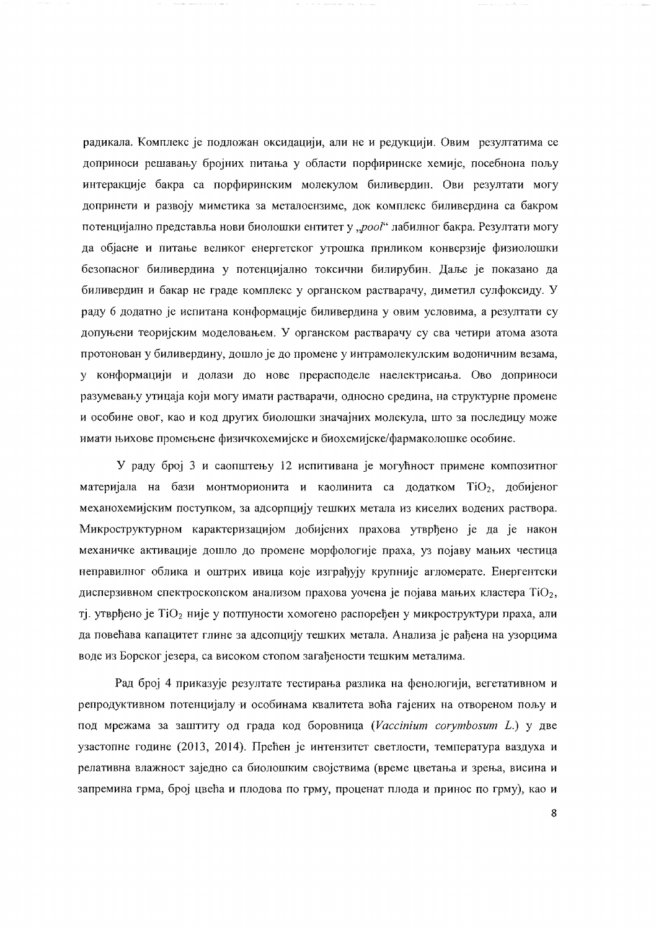радикала. Комплекс је подложан оксидацији, али не и редукцији. Овим резултатима се доприноси решавању бројних питања у области порфиринске хемије, посебнона пољу интеракције бакра са порфиринским молекулом биливердин. Ови резултати могу допринети и развоју миметика за металоензиме, док комплекс биливердина са бакром потенцијално представља нови биолошки ентитет у "роо!" лабилног бакра. Резултати могу да објасне и питање великог енергетског утрошка приликом конверзије физиолошки безопасног биливердина у потенцијално токсични билирубин. Даље је показано да биливердин и бакар не граде комплекс у органском растварачу, диметил сулфоксиду. У раду 6 додатно је испитана конформације биливердина у овим условима, а резултати су допуњени теоријским моделовањем. У органском растварачу су сва четири атома азота протонован у биливердину, дошло је до промене у интрамолекулским водоничним везама, у конформацији и долази до нове прерасподеле наелектрисања. Ово доприноси разумевању утицаја који могу имати растварачи, односно средина, на структурне промене и особине овог, као и код других биолошки значајних молекула, што за последицу може имати њихове промењене физичкохемијске и биохемијске/фармаколошке особине.

У раду број 3 и саопштењу 12 испитивана је могућност примене композитног материјала на бази монтморионита и каолинита са додатком TiO<sub>2</sub>, добијеног механохемијским поступком, за адсорпцију тешких метала из киселих водених раствора. Микроструктурном карактеризацијом добијених прахова утврђено је да је након механичке активације дошло до промене морфологије праха, уз појаву мањих честица неправилног облика и оштрих ивица које изграђују крупније агломерате. Енергентски дисперзивном спектроскопском анализом прахова уочена је појава мањих кластера  $TiO<sub>2</sub>$ , тј. утврђено је TiO<sub>2</sub> није у потпуности хомогено распоређен у микроструктури праха, али да повећава капацитет глине за адсопцију тешких метала. Анализа је рађена на узорцима воде из Борског језера, са високом стопом загађености тешким металима.

Рад број 4 приказује резултате тестирања разлика на фенологији, вегетативном и репродуктивном потенцијалу и особинама квалитета воћа гајених на отвореном пољу и под мрежама за заштиту од града код боровница (Vaccinium corymbosum L.) у две узастопне године (2013, 2014). Прећен је интензитет светлости, температура ваздуха и релативна влажност заједно са биолошким својствима (време цветања и зрења, висина и запремина грма, број цвећа и плодова по грму, проценат плода и принос по грму), као и

8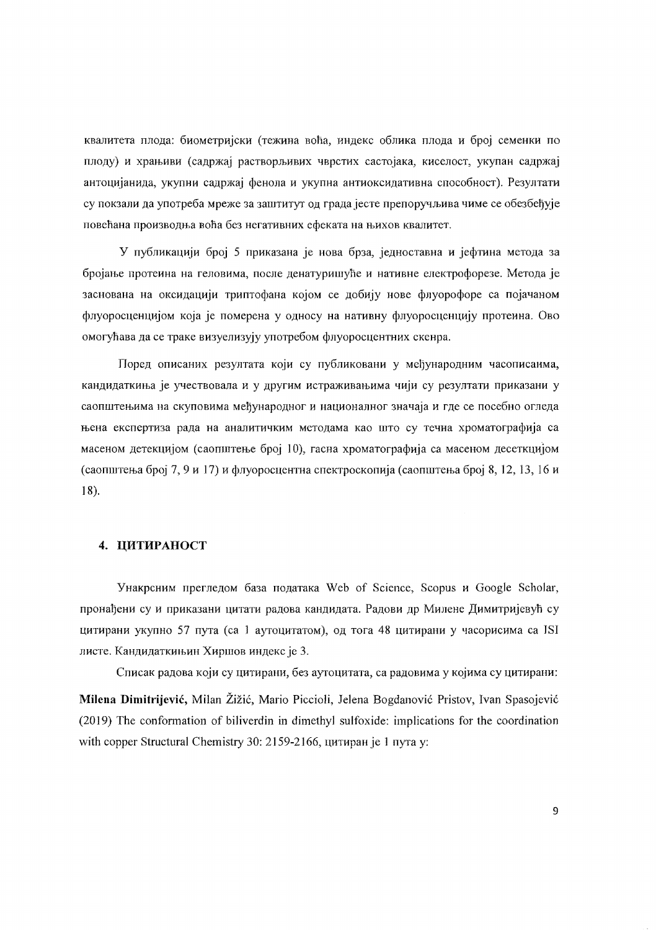квалитета плода: биометријски (тежина воћа, индекс облика плода и број семенки по плоду) и храњиви (садржај растворљивих чврстих састојака, киселост, укупан садржај антоцијанида, укупни садржај фенола и укупна антиоксидативна способност). Резултати су покзали да употреба мреже за заштитут од града јесте препоручљива чиме се обезбеђује повећана производња воћа без негативних ефеката на њихов квалитет.

У публикацији број 5 приказана је нова брза, једноставна и јефтина метода за бројање протеина на геловима, после денатуришуће и нативне електрофорезе. Метода је заснована на оксидацији триптофана којом се добију нове флуорофоре са појачаном флуоросценцијом која је померена у односу на нативну флуоросценцију протеина. Ово омогућава да се траке визуелизују употребом флуоросцентних скенра.

Поред описаних резултата који су публиковани у међународним часописаима, кандидаткиња је учествовала и у другим истраживањима чији су резултати приказани у саопштењима на скуповима међународног и националног значаја и где се посебно огледа њена експертиза рада на аналитичким методама као што су течна хроматографија са масеном детекцијом (саопштење број 10), гасна хроматографија са масеном десеткцијом (саопштења број 7, 9 и 17) и флуоросцентна спектроскопија (саопштења број 8, 12, 13, 16 и  $18).$ 

#### 4. ЦИТИРАНОСТ

Унакрсним прегледом база података Web of Science, Scopus и Google Scholar, пронађени су и приказани цитати радова кандидата. Радови др Милене Димитријевућ су цитирани укупно 57 пута (са 1 аутоцитатом), од тога 48 цитирани у часорисима са ISI листе. Кандидаткињин Хиршов индекс је 3.

Списак радова који су цитирани, без аутоцитата, са радовима у којима су цитирани: Milena Dimitrijević, Milan Žižić, Mario Piccioli, Jelena Bogdanović Pristov, Ivan Spasojević (2019) The conformation of biliverdin in dimethyl sulfoxide: implications for the coordination with copper Structural Chemistry 30: 2159-2166, цитиран је 1 пута у: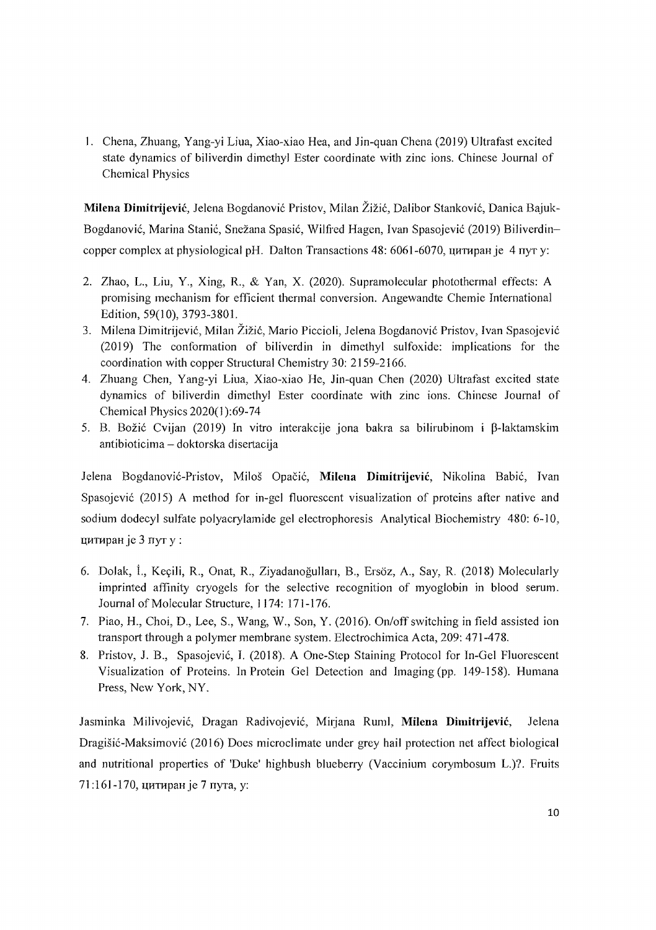1. Chena, Zhuang, Yang-yi Liua, Xiao-xiao Hea, and Jin-quan Chena (2019) Ultrafast excited state dynamics of biliverdin dimethyl Ester coordinate with zinc ions. Chinese Journal of Chemical Physics

Milena Dimitrijević, Jelena Bogdanović Pristov, Milan Žižić, Dalibor Stanković, Danica Bajuk-Bogdanović, Marina Stanić, Snežana Spasić, Wilfred Hagen, Ivan Spasojević (2019) Biliverdincopper complex at physiological pH. Dalton Transactions 48: 6061-6070, цитиран је 4 пут у:

- 2. Zhao, L., Liu, Y., Xing, R., & Yan, X. (2020). Supramolecular photothermal effects: A promising mechanism for efficient thermal conversion. Angewandte Chemie International Edition, 59(10),3793-3801.
- 3. Milena Dimitrijević, Milan Žižić, Mario Piccioli, Jelena Bogdanović Pristov, Ivan Spasojević (2019) The conformation of biliverdin in dimethyl sulfoxide: implications for the coordination with copper Structural Chemistry 30: 2159-2166.
- 4. Zhuang Chen, Yang-yi Liua, Xiao-xiao He, Jin-quan Chen (2020) Ultrafast excited state dynamics of biliverdin dimethyl Ester coordinate with zinc ions. Chinese Journal of Chemical Physics 2020(1 ):69-74
- 5. B. Božić Cvijan (2019) In vitro interakcije jona bakra sa bilirubinom i B-laktamskim antibioticima - doktorska disertacija

Jelena Bogdanović-Pristov, Miloš Opačić, Milena Dimitrijević, Nikolina Babić, Ivan Spasojevi6 (2015) A method for in-gel fluorescent visualization of proteins after native and sodium dodecyl sulfate polyacrylamide gel eleetrophoresis Analytical Biochemistry 480: 6-10, цитиран је 3 лут у :

- 6. Dolak, İ., Keçili, R., Onat, R., Ziyadanoğulları, B., Ersöz, A., Say, R. (2018) Molecularly imprinted affinity cryogels for the selective recognition of myoglobin in blood serum. Journal of Molecular Structure, 1174: 171-176.
- 7. Piao, H., Choi, D., Lee, S., Wang, W., Son, Y. (2016). On/off switching in field assisted ion transport through a polymer membrane system. Electrochimica Acta, 209: 47] -478.
- 8. Pristov, J. B., Spasojević, I. (2018). A One-Step Staining Protocol for In-Gel Fluorescent Visualization of Proteins. In Protein Gel Detection and Imaging (pp. 149-158). Humana Press, New York, NY.

Jasminka Milivojević, Dragan Radivojević, Mirjana Ruml, Milena Dimitrijević, Jelena Dragisic-Maksimovic (2016) Does microclimate under grey haiJ protection net affect biological and nutritional properties of 'Duke' highbush blueberry (Vaccinium corymbosum L.)? Fruits 71:161-170, цитиран је 7 пута, у: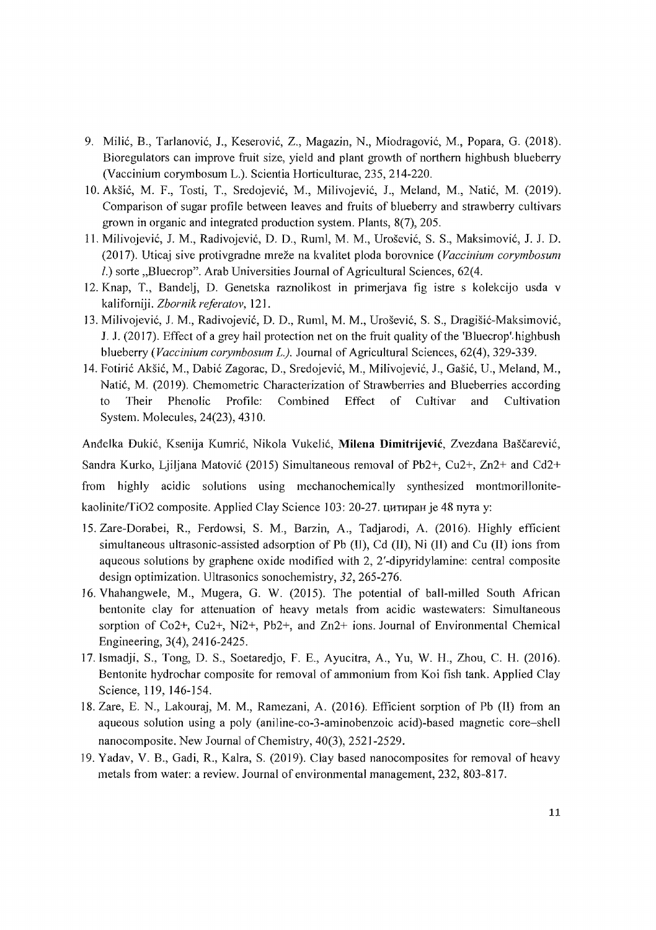- 9. Milic, B., Tarlanovic, l., Keserovic, Z., Magazin, N., Miodragovic, M., Popara, G. (2018). Bioregulators can improve fruit size, yield and plant growth of northern highbush blueberry (Vaccinium corymbosum L.). Scientia Horticulturae, 235, 214-220.
- 10. Akšić, M. F., Tosti, T., Sredojević, M., Milivojević, J., Meland, M., Natić, M. (2019). Comparison of sugar profile between leaves and fruits of blueberry and strawberry cultivars grown in organic and integrated production system. Plants, 8(7), 205.
- 1 L Milivojevi6, 1. M., Radivojevic, D. D., Ruml, M. M., UroseviC, S. S., Maksimovic, J. 1. D. (2017). Uticaj sive protivgradne mreze na kvalitet ploda borovnice *(Vaccinium corymbosum l.*) sorte *"Bluecrop*". Arab Universities Journal of Agricultural Sciences, 62(4.
- 12. Knap, T., Bandelj, D. Genetska raznolikost in primerjava fig istre s kolekcijo usda v kaliforniji. *Zbornik referatov,* 12l.
- 13. Milivojević, J. M., Radivojević, D. D., Ruml, M. M., Urošević, S. S., Dragišić-Maksimović, 1. *l.* (20 J7). Effect of a grey hail protection net on the fruit quality of the 'Bluecrop'. high bush blueberry *(Vaccinium corymbosum L.)*. Journal of Agricultural Sciences, 62(4), 329-339.
- ]4. Fotiric Aksic, M., Dabic Zagorac, D., Sredojevic, M., Milivojevi6, 1., Gasic, n, Meland, M., Natić, M. (2019). Chemometric Characterization of Strawberries and Blueberries according to Their Phenolic Profile: Combined Effect of Cultivar and Cultivation System. Molecules, 24(23), 43] O.

Andelka Duki6, Ksenija Kumric, Nikola Vukeli6, **Milcna Dimitrijcvic,** Zvezdana Bascarevic, Sandra Kurko, Ljiljana Matovic (2015) Simultaneous removal of Pb2+, Cu2+, Zn2+ and Cd2+ from highly acidic solutions using mechanochemically synthesized montmorillonitekaolinite/TiO2 composite. Applied Clay Science 103: 20-27. цитиран је 48 пута у:

- 15. Zare-Dorabei, R., Ferdowsi, S. M., Barzin, A., Tadjarodi, A. (2016). Highly efficient simultaneous ultrasonic-assisted adsorption of Pb (II), Cd (II), Ni (II) and Cu (II) ions from aqueous solutions by graphene oxide modified with 2, 2'-dipyridylamine: central eomposite design optimization. Ultrasonics sonochemistry, 32,265-276.
- 16. Vhahangwele, M., Mugera, G. W. (2015). The potential of ball-milled South African bentonite clay for attenuation of heavy metals from acidic wastewaters: Simultaneous sorption of Co2+, Cu2+, Ni2+, Pb2+, and Zn2+ ions. Journal of Environmental Chemical Engineering, 3(4), 2416-2425.
- 17. Ismadji, S., Tong, D. S., Soetaredjo, F. E., Ayucitra, A., Yu, W. H., Zhou, C. H. (2016). Bentonite hydrochar composite for removal of ammonium from Koi fish tank. Applied Clay Science, 119, 146-154.
- 18. Zare, E. N., Lakouraj, M. M., Ramezani, A. (2016). Efficient sorption of Pb (II) from an aqueous solution using a poly (aniline-co-3-aminobenzoic acid)-based magnetic core-shell nanocomposite. New loumal of Chemistry, 40(3), 2521-2529.
- 19. Yadav, V. B., Gadi, R., Kalra, S. (2019). Clay based nanocomposites for removal of heavy metals from water: a review. Joumal of environmental management, 232, 803-817.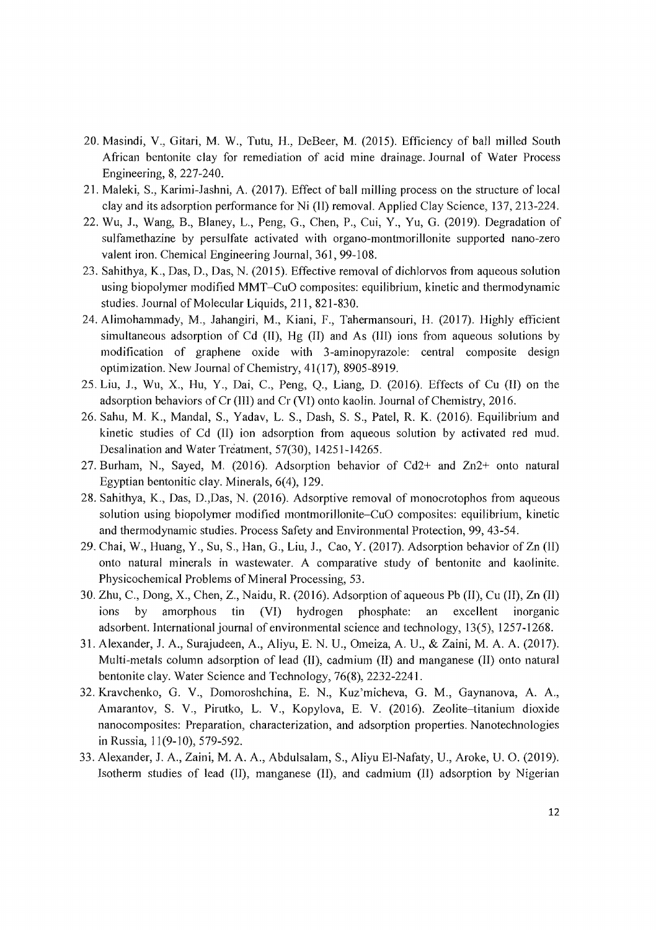- 20. Masindi, V., Gitari, M. W., Tutu, H., DeBeer, M. (2015). Efficiency of ball milled South African bentonite clay for remediation of acid mine drainage. Journal of Water Process Engineering, 8, 227-240.
- 21. Maleki, S., Karimi-Jashni, A. (2017). Effect of ball milling process on the structure of local clay and its adsorption performance for Ni (II) removal. Applied Clay Science, 137,213-224.
- 22. Wu, J., Wang, B., Blaney, L., Peng, G., Chen, P., Cui, Y., Yu, G. (2019). Degradation of sulfamethazine by persulfate activated with organo-montmorillonite supported nano-zero valent iron. Chemical Engineering Journal, 361, 99-108.
- 23. Sahithya, K., Das, D., Das, N. (2015). Effective removal of dichlorvos from aqueous solution using biopolymer modified MMT-CuO composites: equilibrium, kinetic and thermodynamic studies. Journal of Molecular Liquids, 211, 821-830.
- 24. Alimohammady, M., Jahangiri, M., Kiani, F., Tahermansouri, H. (2017). Highly efficient simultaneous adsorption of Cd  $(II)$ , Hg  $(II)$  and As  $(III)$  ions from aqueous solutions by modification of graphene oxide with 3-aminopyrazole: central composite design optimization. New Journal of Chemistry, 41(17),8905-8919.
- 25. Liu, J., Wu, X., Hu, Y., Dai, C., Peng, O., Liang, D.  $(2016)$ . Effects of Cu  $(II)$  on the adsorption behaviors of Cr (III) and Cr (VI) onto kaolin. Journal of Chemistry, 2016.
- 26. Sahu, M. K., Mandal, S., Yadav, L. S., Dash, S. S., Patel, R. K. (2016). Equilibrium and kinetic studies of Cd (II) ion adsorption from aqueous solution by activated red mud. Desalination and Water Treatment, 57(30), 14251-14265.
- 27. Burham, N., Sayed, M. (2016). Adsorption behavior of  $Cd2+$  and  $Zn2+$  onto natural Egyptian bentonitic clay. Minerals, 6(4), 129.
- 28. Sahithya, K., Das, D.,Das, N. (2016). Adsorptive removal of monocrotophos from aqueous solution using biopolymer modified montmorillonite-CuO composites: equilibrium, kinetic and thermodynamic studies. Process Safety and Environmental Protection, 99, 43-54.
- 29. Chai, W., Huang, Y., Su, S., Han, G., Liu, J., Cao, Y. (2017). Adsorption behavior of Zn (II) onto natural minerals in wastewater. A comparative study of bentonite and kaolinite. Physicochemical Problems of Mineral Processing, 53.
- 30. Zhu, C., Dong, X., Chen, Z., Naidu, R. (2016). Adsorption of aqueous Pb (II), Cu (II), Zn (II) ions by amorphous tin (VI) hydrogen phosphate: an excellent inorganic adsorbent. International journal of environmental science and technology, 13(5), 1257-1268.
- 31. Alexander, J. A., Surajudeen, A., Aliyu, E. N. U., Omeiza, A. U., & Zaini, M. A. A. (2017). Multi-metals column adsorption of lead (II), cadmium (II) and manganese (II) onto natural bentonite clay. Water Science and Technology, 76(8), 2232-2241.
- 32. Kravchenko, G. V., Domoroshchina, E. N., Kuz'micheva, G. M., Gaynanova, A. A., Amarantov, S. V., Pirutko, L. V., Kopylova, E. V. (2016). Zeolite-titanium dioxide nanocomposites: Preparation, characterization, and adsorption properties. Nanotechnologies in Russia, 11(9-10), 579-592.
- 33. Alexander, J. A., Zaini, M. A. A., Abdulsalam, S., Aliyu EI-Nafaty, U., Aroke, U. O. (2019). Isotherm studies of lead (II), manganese (II), and cadmium (II) adsorption by Nigerian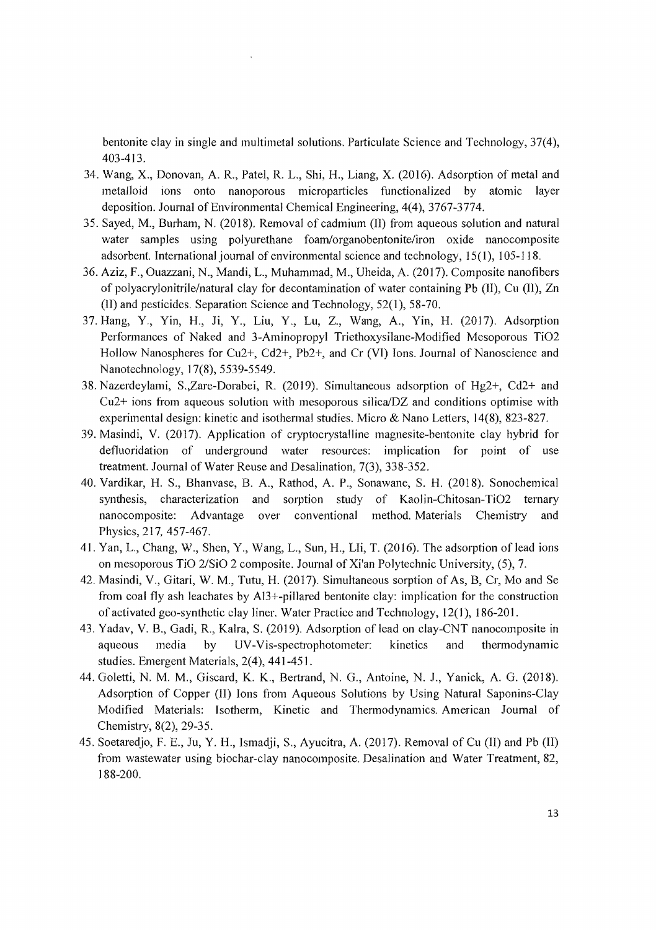bentonite clay in single and multimetal solutions. Particulate Science and Technology, 37(4), 403-413.

- 34. Wang, X., Donovan, A. R., Patel, R. L., Shi, H., Liang, X. (2016). Adsorption of metal and metalloid ions onto nanoporous microparticles functionalized by atomic layer deposition. Journal of Environmental Chemical Engineering, 4(4), 3767-3774.
- 35. Sayed, M., Burham, N.  $(2018)$ . Removal of cadmium  $(II)$  from aqueous solution and natural water samples using polyurethane foam/organobentonite/iron oxide nanocomposite adsorbent. International journal of environmental science and technology, 15(1), 105-118.
- 36. Aziz, F., Ouazzani, N., Mandi, L., Muhammad, M., Uheida, A. (2017). Composite nanofibers of polyacrylonitrile/natural clay for decontamination of water containing Pb (II), Cu (II), Zn (II) and pesticides. Separation Science and Technology, 52(1),58-70.
- 37. Hang, Y., Yin, H., Ji, Y., Liu, Y., Lu, Z., Wang, A., Yin, H. (2017). Adsorption Performances of Naked and 3-Aminopropyl Triethoxysilane-Modified Mesoporous Ti02 Hollow Nanospheres for Cu2+, Cd2+, Pb2+, and Cr (VI) Ions. Journal of Nanoscience and Nanotechnology, 17(8),5539-5549.
- 38. Nazerdeylami, S.,Zare-Dorabei, R. (2019). Simultaneous adsorption of  $Hg2+$ , Cd2+ and  $Cu2+$  ions from aqueous solution with mesoporous silica/ $DZ$  and conditions optimise with experimental design: kinetic and isothermal studies. Micro  $\&$  Nano Letters, 14(8), 823-827.
- 39. Masindi, V. (2017). Application of cryptocrystalline magnesite-bentonite clay hybrid for defluoridation of underground water resources: implication for point of use treatment. Journal of Water Reuse and Desalination, 7(3), 338-352.
- 40. Vardikar, H. S., Bhanvase, B. A., Rathod, A. P., Sonawane, S. H. (2018). Sonochemical synthesis, characterization and sorption study of Kaolin-Chitosan-Ti02 ternary nanocomposite: Advantage over conventional method. Materials Chemistry and Physics, 217,457-467.
- 41. Yan, L., Chang, W., Shen, Y., Wang, L., Sun, H., LIi, T. (2016). The adsorption of lead ions on mesoporous TiO *2/SiO* 2 composite. Journal of Xi'an Polytechnic University, (5), 7.
- 42. Masindi, V., Gitari, W. M., Tutu, H. (2017). Simultaneous sorption of As, B, Cr, Mo and Se from coal fly ash leachates by AI3+-pillared bentonite clay: implication for the construction of activated geo-synthetic clay liner. Water Practice and Technology, 12(1), 186-201.
- 43. Yadav, V. B., Gadi, R., Kalra, S. (2019). Adsorption of lead on clay-CNT nanocomposite in aqueous media by UV -Vis-spectrophotometer: kinetics and thermodynamic studies. Emergent Materials, 2(4), 441-451.
- 44. Goletti, N. M. M., Giscard, K. K., Bertrand, N. G., Antoine, N. J., Yanick, A. G. (2018). Adsorption of Copper (II) Ions from Aqueous Solutions by Using Natural Saponins-Clay Modified Materials: Isotherm, Kinetic and Thennodynamics. American Journal of Chemistry, 8(2), 29-35.
- 45. Soetaredjo, F. E., Ju, Y. H., Ismadji, S., Ayucitra, A. (2017). Removal of Cu (II) and Pb (II) from wastewater using biochar-clay nanocomposite. Desalination and Water Treatment, 82, 188-200.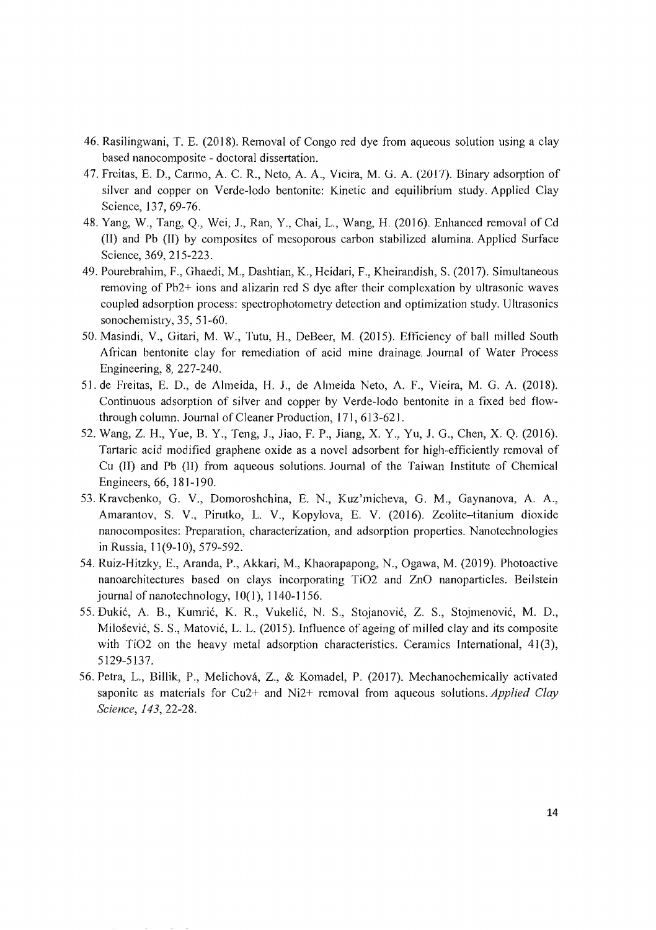- 46. Rasilingwani, T. E. (2018). Removal of Congo red dye from aqueous solution using a clay based nanocomposite - doctoral dissertation.
- 47. Freitas, E. D., Carmo, A. C. R., Neto, A. A., Vieira, M. G. A. (2017). Binary adsorption of silver and copper on Verde-lodo bentonite: Kinetic and equilibrium study. Applied Clay Science, 137, 69-76.
- 48. Yang, W., Tang, Q., Wei, J., Ran, Y., Chai, L., Wang, H. (2016). Enhanced removal of Cd (II) and Pb (II) by composites of mesoporous carbon stabilized alumina. Applied Surface Science, 369,215-223.
- 49. Pourebrahim, F., Ghaedi, M., Dashtian, K., Heidari, F., Kheirandish, S. (2017). Simultaneous removing of Pb2+ ions and alizarin red S dye after their complexation by ultrasonic waves coupled adsorption process: spectrophotometry detection and optimization study. Ultrasonics sonochemistry, 35, 51-60.
- 50. Masindi, V., Gitari, M. W., Tutu, H., DeBeer, M. (2015). Efficiency of ball milled South African bentonite clay for remediation of acid mine drainage. Journal of Water Process Engineering, 8, 227-240.
- 51. de Freitas, E. D., de Almeida, H. J., de Almeida Neto, A. F., Vieira, M. G. A. (2018). Continuous adsorption of silver and copper by Verde-Iodo bentonite in a fixed bed flowthrough column. Journal of Cleaner Production, 171,613-621.
- 52. Wang, Z. H., Yue, B. Y., Teng, J., Jiao, F. P., Jiang, X. Y., Yu, J. G., Chen, X. Q. (2016). Tartaric acid modified graphene oxide as a novel adsorbent for high-efficiently removal of Cu (11) and Pb (II) from aqueous solutions. Journal of the Taiwan Institute of Chemical Engineers, 66, 181-] 90.
- 53. Kravchenko, G. V., Domoroshchina, E. N., Kuz'micheva, G. M., Gaynanova, A. A., Amarantov, S. V., Pirutko, L. V., Kopylova, E. V. (2016). Zeolite-titanium dioxide nanocomposites: Preparation, characterization, and adsorption properties. Nanotechnologies in Russia, 11(9-10),579-592.
- 54. Ruiz-Hitzky, E., Aranda, P., Akkari, M., Khaorapapong, N., Ogawa, M. (2019). Photoactive nanoarchitectures based on clays incorporating TiO2 and ZnO nanoparticles. Beilstein journal of nanotechnology, 10(1), 1140-1156.
- 55. Đukić, A. B., Kumrić, K. R., Vukelić, N. S., Stojanović, Z. S., Stojmenović, M. D., Milošević, S. S., Matović, L. L. (2015). Influence of ageing of milled clay and its composite with  $TiO2$  on the heavy metal adsorption characteristics. Ceramics International,  $41(3)$ , 5129-5137.
- 56. Petra, L., Billik, P., Melichova, Z., & Komadel, P. (2017). Mechanochemically activated saponite as materials for Cu2+ and Ni2+ removal from aqueous solutions. *Applied Clay Science,* 143,22-28.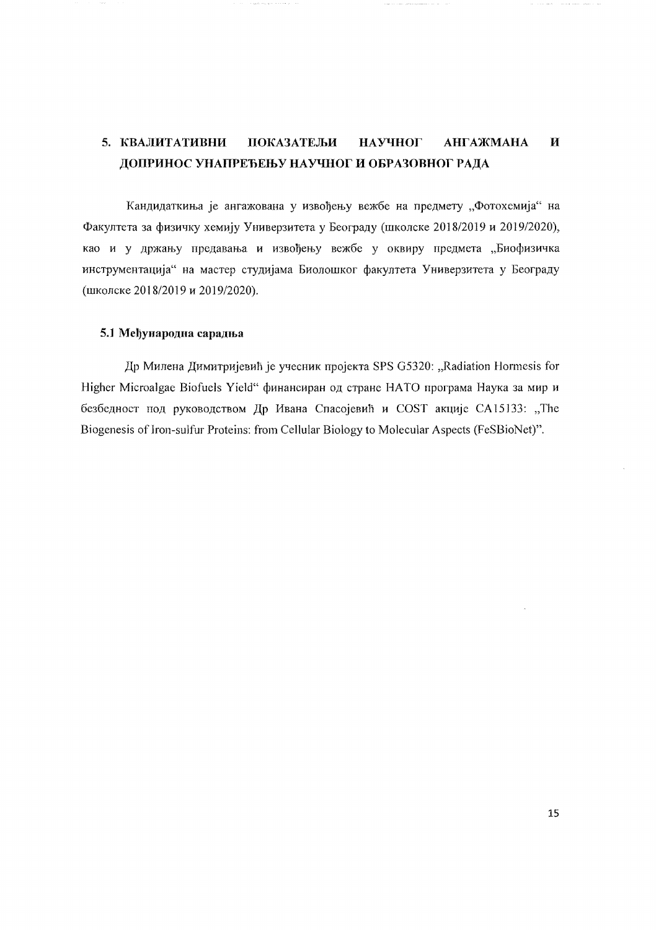#### 5. КВАЛИТАТИВНИ  $\overline{\mathbf{M}}$ ПОКАЗАТЕЉИ **НАУЧНОГ АНГАЖМАНА** ДОПРИНОС УНАПРЕЂЕЊУ НАУЧНОГ И ОБРАЗОВНОГ РАДА

Кандидаткиња је ангажована у извођењу вежбе на предмету "Фотохемија" на Факултета за физичку хемију Универзитета у Београду (школске 2018/2019 и 2019/2020), као и у држању предавања и извођењу вежбе у оквиру предмета "Биофизичка инструментација" на мастер студијама Биолошког факултета Универзитета у Београду (школске 2018/2019 и 2019/2020).

#### 5.1 Међународна сарадња

Др Милена Димитријевић је учесник пројекта SPS G5320: "Radiation Hormesis for Higher Microalgae Biofuels Yield" финансиран од стране НАТО програма Наука за мир и безбедност под руководством Др Ивана Спасојевић и COST акције CA15133: "The Biogenesis of Iron-sulfur Proteins: from Cellular Biology to Molecular Aspects (FeSBioNet)".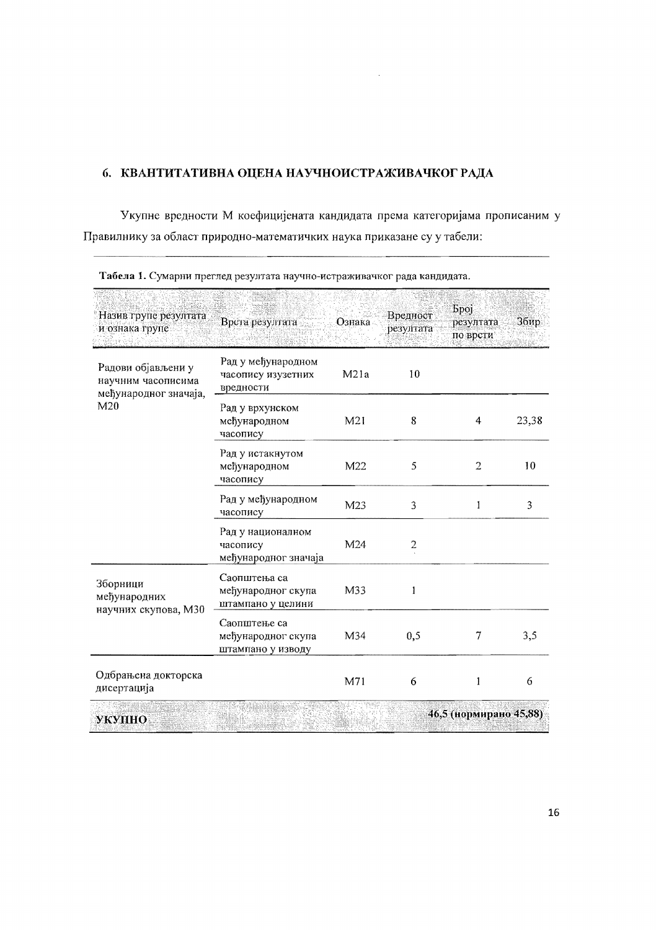### 6. КВАНТИТАТИВНА ОЦЕНА НАУЧНОИСТРАЖИВАЧКОГ РАДА

Укупне вредности М коефицијената кандидата према категоријама прописаним у Правилнику за област природно-математичких наука приказане су у табели:

 $\lambda$ 

| Назив групе резултата<br>и ознака групе                                              | Врста резултата                                         | Ознака          | Вредност<br>резултата | <b>Spoj</b><br>резултата<br>по врсти | Збир  |
|--------------------------------------------------------------------------------------|---------------------------------------------------------|-----------------|-----------------------|--------------------------------------|-------|
| Радови објављени у<br>научним часописима<br>међународног значаја,<br>M <sub>20</sub> | Рад у међународном<br>часопису изузетних<br>вредности   | M21a            | 10                    |                                      |       |
|                                                                                      | Рад у врхунском<br>међународном<br>часопису             | M <sub>21</sub> | 8                     | 4                                    | 23,38 |
|                                                                                      | Рад у истакнутом<br>међународном<br>часопису            | M <sub>22</sub> | 5                     | $\overline{2}$                       | 10    |
|                                                                                      | Рад у међународном<br>часопису                          | M23             | 3                     | 1                                    | 3     |
|                                                                                      | Рад у националном<br>часопису<br>међународног значаја   | M24             | 2                     |                                      |       |
| Зборници<br>међународних<br>научних скупова, М30                                     | Саопштења са<br>међународног скупа<br>штампано у целини | M33             | 1                     |                                      |       |
|                                                                                      | Саопштење са<br>међународног скупа<br>штампано у изводу | M34             | 0,5                   | 7                                    | 3,5   |
| Одбрањена докторска<br>дисертација                                                   |                                                         | M71             | 6                     | 1                                    | 6     |
| УКУПНО                                                                               |                                                         |                 |                       | 46,5 (нормирано 45,88)               |       |

Табела 1. Сумарни преглед резултата научно-истраживачког рада кандидата.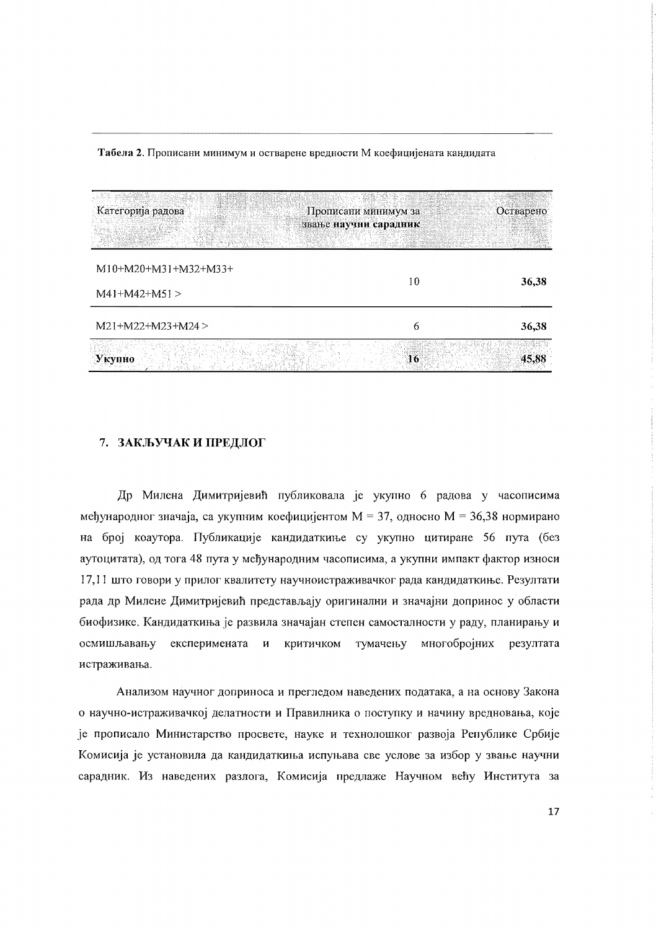| Категорија радова                       | Прописани минимум за<br>звање научни сарадник | Остварено |
|-----------------------------------------|-----------------------------------------------|-----------|
| $M10+M20+M31+M32+M33+$<br>$M41+M42+M51$ | 10                                            | 36,38     |
| $M21+M22+M23+M24$                       | 6                                             | 36,38     |
| Укупно                                  | 16                                            | 45,88     |

Табела 2. Прописани минимум и остварене вредности М коефицијената кандидата

#### 7. ЗАКЉУЧАК И ПРЕДЛОГ

Др Милена Димитријевић публиковала је укупно 6 радова у часописима међународног значаја, са укупним коефицијентом  $M = 37$ , односно  $M = 36,38$  нормирано на број коаутора. Публикације кандидаткиње су укупно цитиране 56 пута (без аутоцитата), од тога 48 пута у међународним часописима, а укупни импакт фактор износи 17,11 што говори у прилог квалитету научноистраживачког рада кандидаткиње. Резултати рада др Милене Димитријевић представљају оригинални и значајни допринос у области биофизике. Кандидаткиња је развила значајан степен самосталности у раду, планирању и осмишљавању експеримената и критичком тумачењу многобројних резултата истраживања.

Анализом научног доприноса и прегледом наведених података, а на основу Закона о научно-истраживачкој делатности и Правилника о поступку и начину вредновања, које је прописало Министарство просвете, науке и технолошког развоја Републике Србије Комисија је установила да кандидаткиња испуњава све услове за избор у звање научни сарадник. Из наведених разлога, Комисија предлаже Научном већу Института за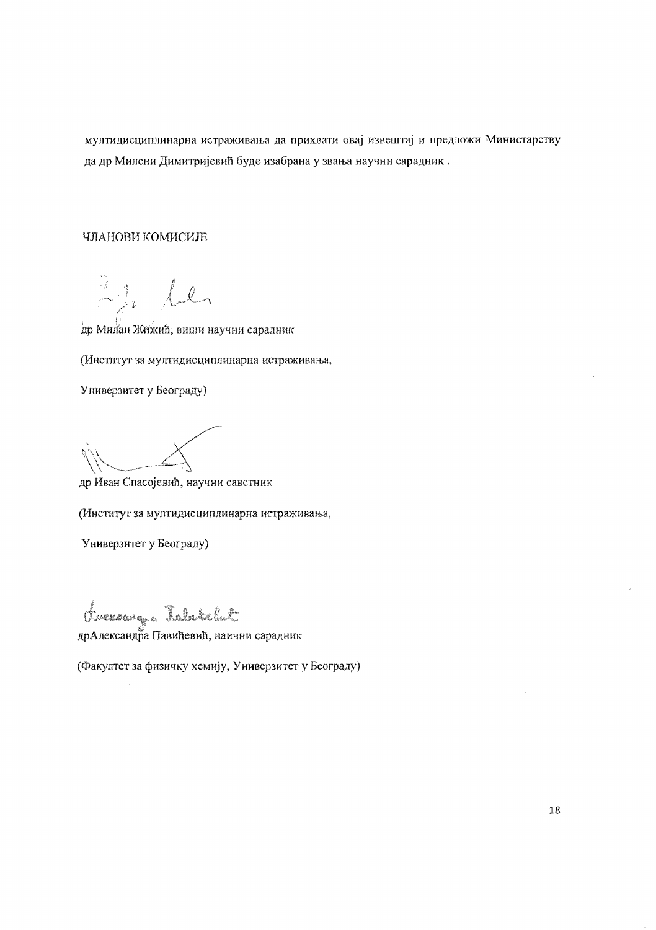мултидисциплинарна истраживања да прихвати овај извештај и предложи Министарству да др Милени Димитријевић буде изабрана у звања научни сарадник.

#### ЧЛАНОВИ КОМИСИЈЕ

 $2h$  le

др Милан Жижић, виши научни сарадник

(Институт за мултидисциплинарна истраживања,

Универзитет у Београду)

др Иван Спасојевић, научни саветник

(Институт за мултидисциплинарна истраживања,

Универзитет у Београду)

twereawg a Talutelut

(Факултет за физичку хемију, Универзитет у Београду)